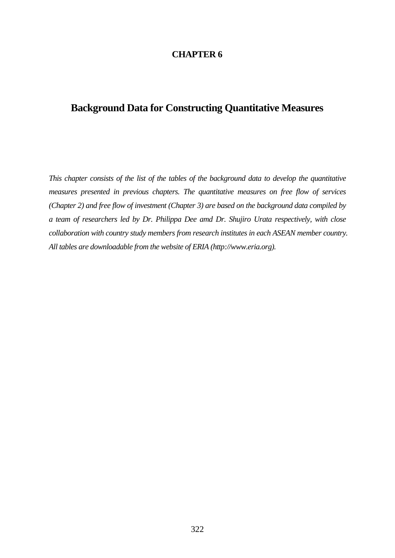#### **CHAPTER 6**

# **Background Data for Constructing Quantitative Measures**

*This chapter consists of the list of the tables of the background data to develop the quantitative measures presented in previous chapters. The quantitative measures on free flow of services (Chapter 2) and free flow of investment (Chapter 3) are based on the background data compiled by a team of researchers led by Dr. Philippa Dee amd Dr. Shujiro Urata respectively, with close collaboration with country study members from research institutes in each ASEAN member country. All tables are downloadable from the website of ERIA (http://www.eria.org).*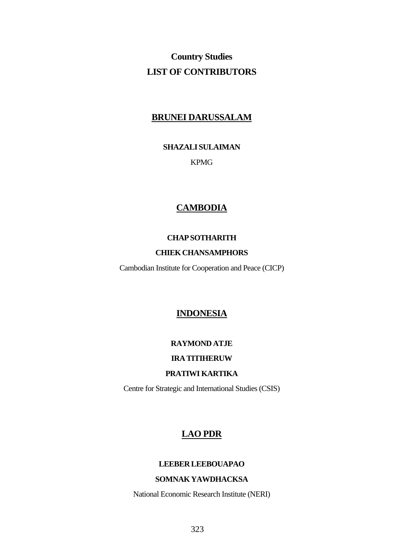# **Country Studies LIST OF CONTRIBUTORS**

## **BRUNEI DARUSSALAM**

**SHAZALI SULAIMAN** 

KPMG

## **CAMBODIA**

### **CHAPSOTHARITH**

### **CHIEKCHANSAMPHORS**

Cambodian Institute for Cooperation and Peace (CICP)

## **INDONESIA**

#### **RAYMOND ATJE**

#### **IRATITIHERUW**

## **PRATIWI KARTIKA**

Centre for Strategic and International Studies (CSIS)

## **LAO PDR**

#### **LEEBERLEEBOUAPAO**

### **SOMNAKYAWDHACKSA**

National Economic Research Institute (NERI)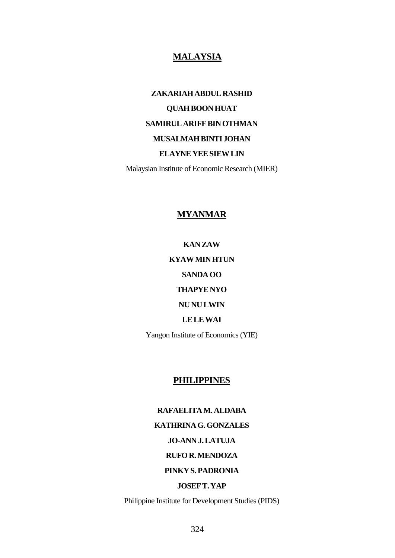## **MALAYSIA**

**ZAKARIAHABDULRASHID QUAHBOONHUAT SAMIRUL ARIFF BIN OTHMAN MUSALMAHBINTI JOHAN ELAYNEYEESIEWLIN**  Malaysian Institute of Economic Research (MIER)

### **MYANMAR**

**KANZAW KYAWMINHTUN SANDA OO THAPYENYO NUNULWIN LELEWAI**  Yangon Institute of Economics (YIE)

#### **PHILIPPINES**

#### **RAFAELITAM. ALDABA**

## **KATHRINAG.GONZALES**

## **JO-ANNJ.LATUJA**

#### **RUFOR.MENDOZA**

#### **PINKYS.PADRONIA**

#### **JOSEFT.YAP**

Philippine Institute for Development Studies (PIDS)